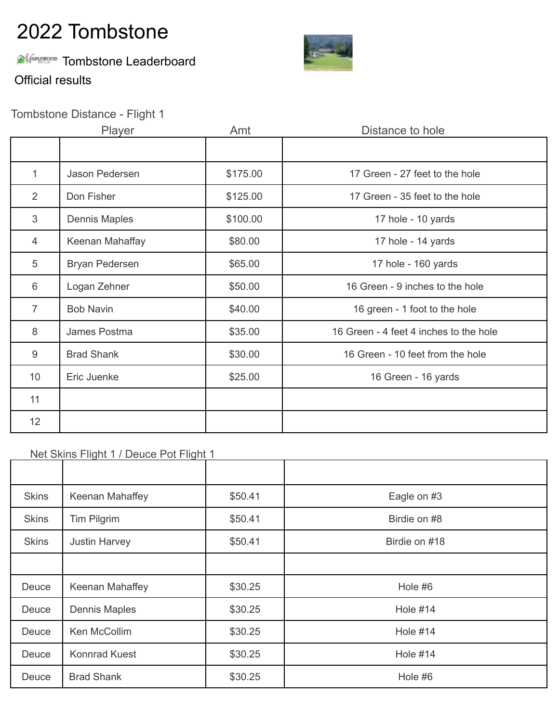## **Alimence** Tombstone Leaderboard



Official results

## Tombstone Distance - Flight 1

|                 | Player               | Amt      | Distance to hole                       |
|-----------------|----------------------|----------|----------------------------------------|
|                 |                      |          |                                        |
| 1               | Jason Pedersen       | \$175.00 | 17 Green - 27 feet to the hole         |
| 2               | Don Fisher           | \$125.00 | 17 Green - 35 feet to the hole         |
| 3               | <b>Dennis Maples</b> | \$100.00 | 17 hole - 10 yards                     |
| $\overline{4}$  | Keenan Mahaffay      | \$80.00  | 17 hole - 14 yards                     |
| 5               | Bryan Pedersen       | \$65.00  | 17 hole - 160 yards                    |
| 6               | Logan Zehner         | \$50.00  | 16 Green - 9 inches to the hole        |
| $\overline{7}$  | <b>Bob Navin</b>     | \$40.00  | 16 green - 1 foot to the hole          |
| 8               | James Postma         | \$35.00  | 16 Green - 4 feet 4 inches to the hole |
| 9               | <b>Brad Shank</b>    | \$30.00  | 16 Green - 10 feet from the hole       |
| 10              | Eric Juenke          | \$25.00  | 16 Green - 16 yards                    |
| 11              |                      |          |                                        |
| 12 <sup>2</sup> |                      |          |                                        |

### Net Skins Flight 1 / Deuce Pot Flight 1

| <b>Skins</b> | Keenan Mahaffey      | \$50.41 | Eagle on #3     |
|--------------|----------------------|---------|-----------------|
| <b>Skins</b> | Tim Pilgrim          | \$50.41 | Birdie on #8    |
| <b>Skins</b> | <b>Justin Harvey</b> | \$50.41 | Birdie on #18   |
|              |                      |         |                 |
| Deuce        | Keenan Mahaffey      | \$30.25 | Hole #6         |
| Deuce        | <b>Dennis Maples</b> | \$30.25 | <b>Hole #14</b> |
| Deuce        | Ken McCollim         | \$30.25 | <b>Hole #14</b> |
| Deuce        | <b>Konnrad Kuest</b> | \$30.25 | <b>Hole #14</b> |
| Deuce        | <b>Brad Shank</b>    | \$30.25 | Hole #6         |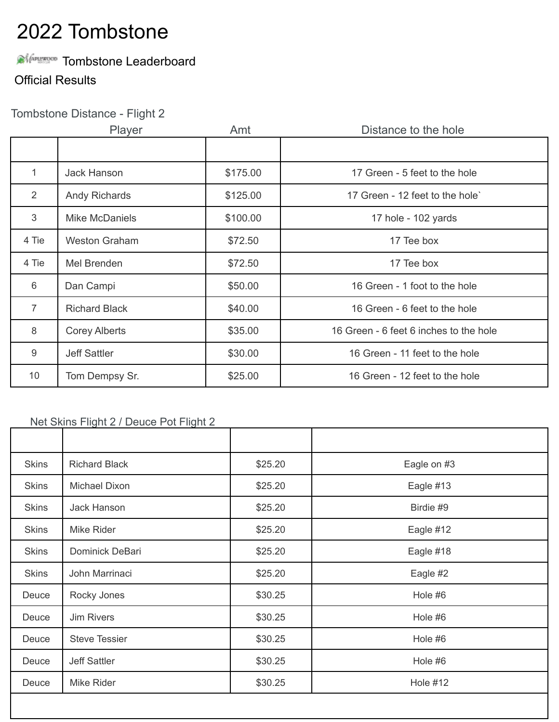## **AMAREROD** Tombstone Leaderboard

### Official Results

## Tombstone Distance - Flight 2

|                 | Player                | Amt      | Distance to the hole                   |
|-----------------|-----------------------|----------|----------------------------------------|
|                 |                       |          |                                        |
| 1               | <b>Jack Hanson</b>    | \$175.00 | 17 Green - 5 feet to the hole          |
| 2               | <b>Andy Richards</b>  | \$125.00 | 17 Green - 12 feet to the hole`        |
| 3               | <b>Mike McDaniels</b> | \$100.00 | 17 hole - 102 yards                    |
| 4 Tie           | <b>Weston Graham</b>  | \$72.50  | 17 Tee box                             |
| 4 Tie           | Mel Brenden           | \$72.50  | 17 Tee box                             |
| 6               | Dan Campi             | \$50.00  | 16 Green - 1 foot to the hole          |
| $\overline{7}$  | <b>Richard Black</b>  | \$40.00  | 16 Green - 6 feet to the hole          |
| 8               | <b>Corey Alberts</b>  | \$35.00  | 16 Green - 6 feet 6 inches to the hole |
| $9\,$           | <b>Jeff Sattler</b>   | \$30.00  | 16 Green - 11 feet to the hole         |
| 10 <sup>°</sup> | Tom Dempsy Sr.        | \$25.00  | 16 Green - 12 feet to the hole         |

#### Net Skins Flight 2 / Deuce Pot Flight 2

| <b>Skins</b> | <b>Richard Black</b> | \$25.20 | Eagle on #3     |
|--------------|----------------------|---------|-----------------|
| <b>Skins</b> | Michael Dixon        | \$25.20 | Eagle #13       |
| <b>Skins</b> | Jack Hanson          | \$25.20 | Birdie #9       |
| <b>Skins</b> | Mike Rider           | \$25.20 | Eagle #12       |
| <b>Skins</b> | Dominick DeBari      | \$25.20 | Eagle #18       |
| <b>Skins</b> | John Marrinaci       | \$25.20 | Eagle #2        |
| Deuce        | Rocky Jones          | \$30.25 | Hole #6         |
| Deuce        | <b>Jim Rivers</b>    | \$30.25 | Hole #6         |
| Deuce        | <b>Steve Tessier</b> | \$30.25 | Hole #6         |
| Deuce        | <b>Jeff Sattler</b>  | \$30.25 | Hole #6         |
| Deuce        | Mike Rider           | \$30.25 | <b>Hole #12</b> |
|              |                      |         |                 |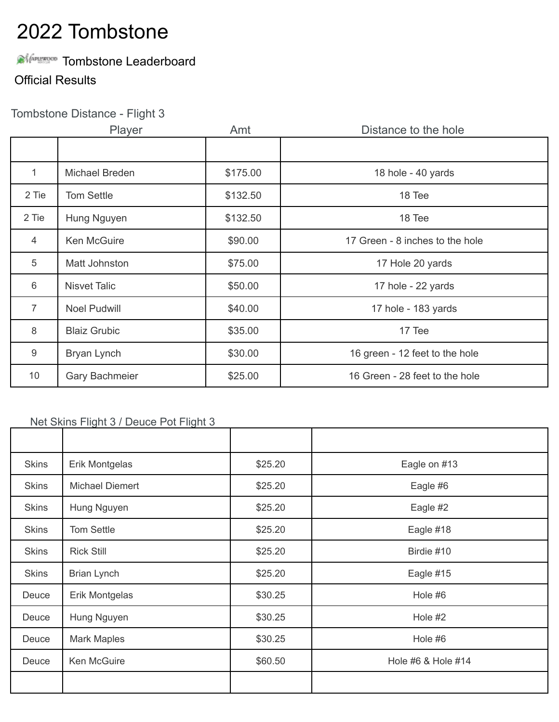## **AMAREROD** Tombstone Leaderboard

### Official Results

## Tombstone Distance - Flight 3

|                 | Player                | Amt      | Distance to the hole            |
|-----------------|-----------------------|----------|---------------------------------|
|                 |                       |          |                                 |
| 1               | Michael Breden        | \$175.00 | 18 hole - 40 yards              |
| 2 Tie           | <b>Tom Settle</b>     | \$132.50 | 18 Tee                          |
| 2 Tie           | Hung Nguyen           | \$132.50 | 18 Tee                          |
| $\overline{4}$  | <b>Ken McGuire</b>    | \$90.00  | 17 Green - 8 inches to the hole |
| 5               | Matt Johnston         | \$75.00  | 17 Hole 20 yards                |
| 6               | <b>Nisvet Talic</b>   | \$50.00  | 17 hole - 22 yards              |
| $\overline{7}$  | <b>Noel Pudwill</b>   | \$40.00  | 17 hole - 183 yards             |
| 8               | <b>Blaiz Grubic</b>   | \$35.00  | 17 Tee                          |
| 9               | Bryan Lynch           | \$30.00  | 16 green - 12 feet to the hole  |
| 10 <sup>°</sup> | <b>Gary Bachmeier</b> | \$25.00  | 16 Green - 28 feet to the hole  |

#### Net Skins Flight 3 / Deuce Pot Flight 3

| <b>Skins</b> | Erik Montgelas         | \$25.20 | Eagle on #13       |
|--------------|------------------------|---------|--------------------|
| <b>Skins</b> | <b>Michael Diemert</b> | \$25.20 | Eagle #6           |
| <b>Skins</b> | Hung Nguyen            | \$25.20 | Eagle #2           |
| <b>Skins</b> | Tom Settle             | \$25.20 | Eagle #18          |
| <b>Skins</b> | <b>Rick Still</b>      | \$25.20 | Birdie #10         |
| <b>Skins</b> | <b>Brian Lynch</b>     | \$25.20 | Eagle #15          |
| Deuce        | Erik Montgelas         | \$30.25 | Hole #6            |
| Deuce        | Hung Nguyen            | \$30.25 | Hole #2            |
| Deuce        | <b>Mark Maples</b>     | \$30.25 | Hole #6            |
| Deuce        | Ken McGuire            | \$60.50 | Hole #6 & Hole #14 |
|              |                        |         |                    |